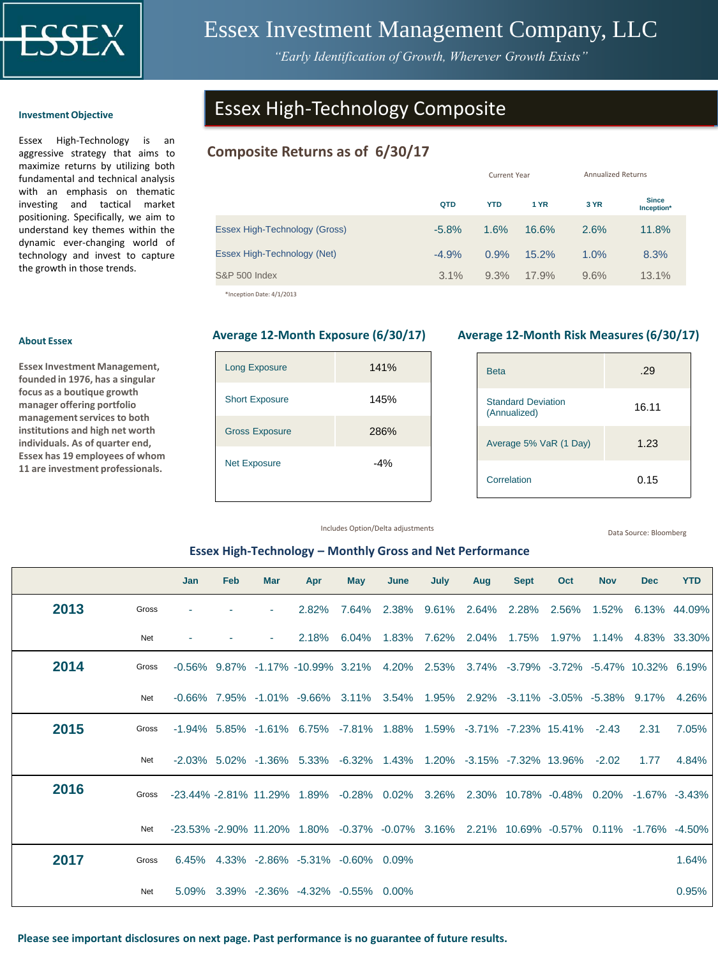

## Essex Investment Management Company, LLC

*"Early Identification of Growth, Wherever Growth Exists"*

### **Investment Objective**

Essex High-Technology is an aggressive strategy that aims to maximize returns by utilizing both fundamental and technical analysis with an emphasis on thematic investing and tactical market positioning. Specifically, we aim to understand key themes within the dynamic ever-changing world of technology and invest to capture the growth in those trends.

### **About Essex**

**Essex Investment Management, founded in 1976, has a singular focus as a boutique growth manager offering portfolio management services to both institutions and high net worth individuals. As of quarter end, Essex has 19 employees of whom 11 are investment professionals.** 

## Essex High-Technology Composite

### **Composite Returns as of 6/30/17**

|                               |         | <b>Current Year</b> | <b>Annualized Returns</b> |      |                            |  |
|-------------------------------|---------|---------------------|---------------------------|------|----------------------------|--|
|                               | QTD     | <b>YTD</b>          | 1 YR                      | 3 YR | <b>Since</b><br>Inception* |  |
| Essex High-Technology (Gross) | $-5.8%$ | 1.6%                | 16.6%                     | 2.6% | 11.8%                      |  |
| Essex High-Technology (Net)   | $-4.9%$ | 0.9%                | 15.2%                     | 1.0% | 8.3%                       |  |
| <b>S&amp;P 500 Index</b>      | 3.1%    | 9.3%                | 17.9%                     | 9.6% | 13.1%                      |  |
|                               |         |                     |                           |      |                            |  |

\*Inception Date: 4/1/2013

# Long Exposure 141% Short Exposure 145% Gross Exposure 286% Net Exposure  $-4\%$

### **Average 12-Month Exposure (6/30/17) Average 12-Month Risk Measures (6/30/17)**

| <b>Beta</b>                               | .29   |
|-------------------------------------------|-------|
| <b>Standard Deviation</b><br>(Annualized) | 16.11 |
| Average 5% VaR (1 Day)                    | 1.23  |
| Correlation                               | 0.15  |

Includes Option/Delta adjustments

Data Source: Bloomberg

### **Essex High-Technology – Monthly Gross and Net Performance**

|      |       | Jan   | Feb | <b>Mar</b> | Apr                                                                                     | May   | June     | July        | Aug   | <b>Sept</b>                             | Oct   | <b>Nov</b> | <b>Dec</b> | <b>YTD</b>             |
|------|-------|-------|-----|------------|-----------------------------------------------------------------------------------------|-------|----------|-------------|-------|-----------------------------------------|-------|------------|------------|------------------------|
| 2013 | Gross |       |     | $\sim$     | 2.82%                                                                                   | 7.64% | 2.38%    | 9.61%       | 2.64% | 2.28%                                   | 2.56% | 1.52%      |            | 6.13% 44.09%           |
|      | Net   |       |     | $\sim$     | 2.18%                                                                                   | 6.04% | 1.83%    | 7.62% 2.04% |       | 1.75% 1.97%                             |       |            |            | 1.14% 4.83% 33.30%     |
| 2014 | Gross |       |     |            | $-0.56\%$ 9.87% $-1.17\%$ $-10.99\%$ 3.21%                                              |       | 4.20%    | 2.53%       |       | 3.74% -3.79% -3.72% -5.47% 10.32% 6.19% |       |            |            |                        |
|      | Net   |       |     |            | $-0.66\%$ 7.95% $-1.01\%$ $-9.66\%$ 3.11%                                               |       | $3.54\%$ |             |       | 1.95% 2.92% -3.11% -3.05% -5.38% 9.17%  |       |            |            | 4.26%                  |
| 2015 | Gross |       |     |            | $-1.94\%$ 5.85% $-1.61\%$ 6.75% $-7.81\%$ 1.88%                                         |       |          |             |       | 1.59% -3.71% -7.23% 15.41%              |       | $-2.43$    | 2.31       | 7.05%                  |
|      | Net   |       |     |            | $-2.03\%$ 5.02% $-1.36\%$ 5.33% $-6.32\%$ 1.43%                                         |       |          |             |       | 1.20% -3.15% -7.32% 13.96%              |       | $-2.02$    | 1.77       | 4.84%                  |
| 2016 | Gross |       |     |            | -23.44% -2.81% 11.29% 1.89% -0.28% 0.02%                                                |       |          |             |       | 3.26% 2.30% 10.78% -0.48%               |       |            |            | $0.20\%$ -1.67% -3.43% |
|      | Net   |       |     |            | -23.53% -2.90% 11.20% 1.80% -0.37% -0.07% 3.16% 2.21% 10.69% -0.57% 0.11% -1.76% -4.50% |       |          |             |       |                                         |       |            |            |                        |
| 2017 | Gross | 6.45% |     |            | 4.33% -2.86% -5.31% -0.60% 0.09%                                                        |       |          |             |       |                                         |       |            |            | 1.64%                  |
|      | Net   | 5.09% |     |            | 3.39% -2.36% -4.32% -0.55% 0.00%                                                        |       |          |             |       |                                         |       |            |            | 0.95%                  |